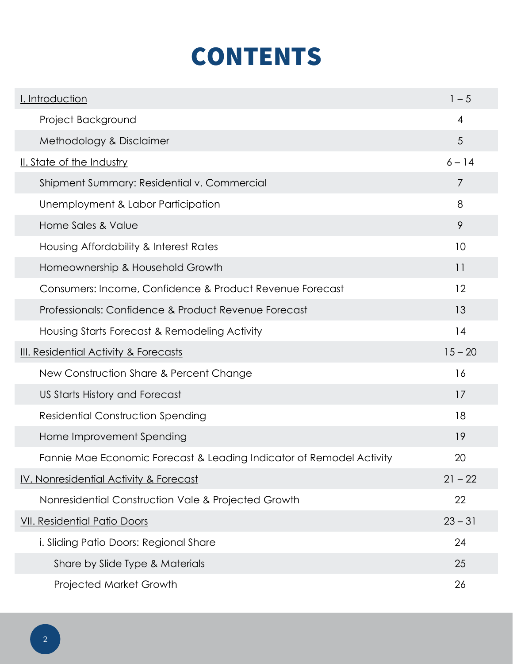## **CONTENTS**

| <u>I. Introduction</u>                                               | $1 - 5$        |
|----------------------------------------------------------------------|----------------|
| Project Background                                                   | $\overline{4}$ |
| Methodology & Disclaimer                                             | $5\phantom{.}$ |
| <b>II. State of the Industry</b>                                     | $6 - 14$       |
| Shipment Summary: Residential v. Commercial                          | 7              |
| Unemployment & Labor Participation                                   | 8              |
| Home Sales & Value                                                   | 9              |
| Housing Affordability & Interest Rates                               | 10             |
| Homeownership & Household Growth                                     | 11             |
| Consumers: Income, Confidence & Product Revenue Forecast             | 12             |
| Professionals: Confidence & Product Revenue Forecast                 | 13             |
| Housing Starts Forecast & Remodeling Activity                        | 14             |
| <b>III. Residential Activity &amp; Forecasts</b>                     | $15 - 20$      |
| New Construction Share & Percent Change                              | 16             |
| US Starts History and Forecast                                       | 17             |
| <b>Residential Construction Spending</b>                             | 18             |
| Home Improvement Spending                                            | 19             |
| Fannie Mae Economic Forecast & Leading Indicator of Remodel Activity | 20             |
| IV. Nonresidential Activity & Forecast                               | $21 - 22$      |
| Nonresidential Construction Vale & Projected Growth                  | 22             |
| <b>VII. Residential Patio Doors</b>                                  | $23 - 31$      |
| i. Sliding Patio Doors: Regional Share                               | 24             |
| Share by Slide Type & Materials                                      | 25             |
| <b>Projected Market Growth</b>                                       | 26             |